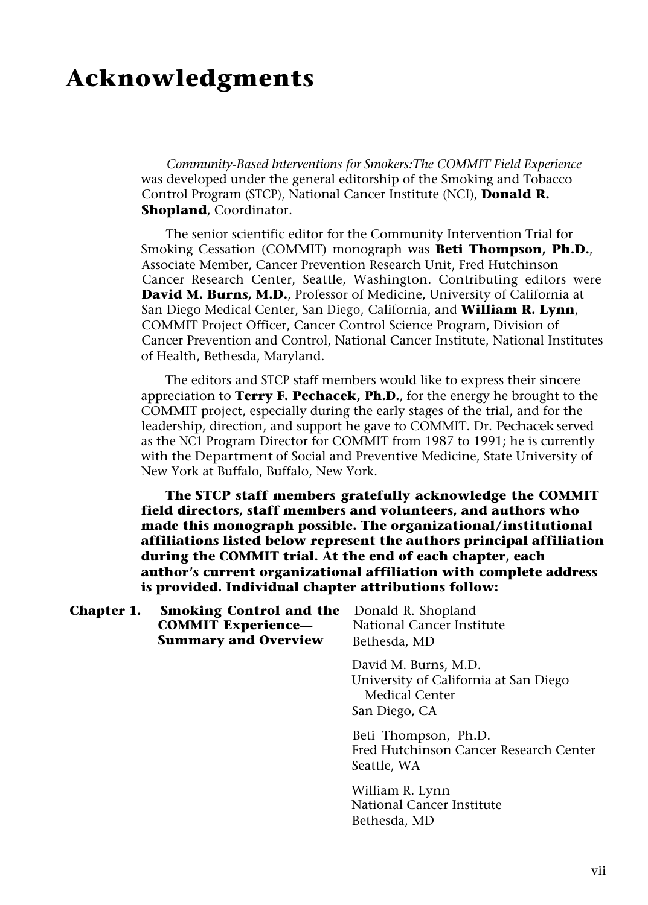# **Acknowledgments**

*Community-Based lnterventions for Smokers:The COMMIT Field Experience* was developed under the general editorship of the Smoking and Tobacco Control Program (STCP), National Cancer Institute (NCI), **Donald R. Shopland**, Coordinator.

The senior scientific editor for the Community Intervention Trial for Smoking Cessation (COMMIT) monograph was **Beti Thompson, Ph.D.**, Associate Member, Cancer Prevention Research Unit, Fred Hutchinson Cancer Research Center, Seattle, Washington. Contributing editors were **David M. Burns, M.D.**, Professor of Medicine, University of California at San Diego Medical Center, San Diego, California, and **William R. Lynn**, COMMIT Project Officer, Cancer Control Science Program, Division of Cancer Prevention and Control, National Cancer Institute, National Institutes of Health, Bethesda, Maryland.

The editors and STCP staff members would like to express their sincere appreciation to **Terry F. Pechacek, Ph.D.**, for the energy he brought to the COMMIT project, especially during the early stages of the trial, and for the leadership, direction, and support he gave to COMMIT. Dr. Pechacek served as the NC1 Program Director for COMMIT from 1987 to 1991; he is currently with the Department of Social and Preventive Medicine, State University of New York at Buffalo, Buffalo, New York.

**The STCP staff members gratefully acknowledge the COMMIT field directors, staff members and volunteers, and authors who made this monograph possible. The organizational/institutional affiliations listed below represent the authors principal affiliation during the COMMIT trial. At the end of each chapter, each author's current organizational affiliation with complete address is provided. Individual chapter attributions follow:**

| Chapter 1. | <b>Smoking Control and the</b><br><b>COMMIT Experience-</b><br><b>Summary and Overview</b> | Donald R. Shopland<br>National Cancer Institute<br>Bethesda, MD                                         |
|------------|--------------------------------------------------------------------------------------------|---------------------------------------------------------------------------------------------------------|
|            |                                                                                            | David M. Burns, M.D.<br>University of California at San Diego<br><b>Medical Center</b><br>San Diego, CA |
|            |                                                                                            | Beti Thompson, Ph.D.<br>Fred Hutchinson Cancer Research Center<br>Seattle, WA                           |
|            |                                                                                            | William R. Lynn<br>National Cancer Institute<br>Bethesda, MD                                            |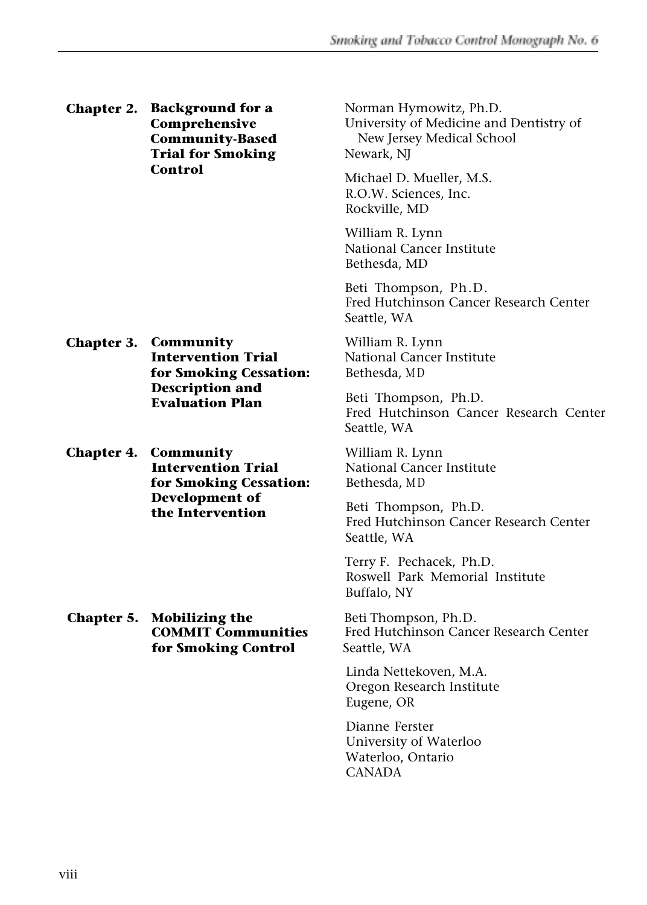|                   | <b>Chapter 2. Background for a</b><br>Comprehensive<br><b>Community-Based</b><br><b>Trial for Smoking</b><br>Control                   | Norman Hymowitz, Ph.D.<br>University of Medicine and Dentistry of<br>New Jersey Medical School<br>Newark, NJ |
|-------------------|----------------------------------------------------------------------------------------------------------------------------------------|--------------------------------------------------------------------------------------------------------------|
|                   |                                                                                                                                        | Michael D. Mueller, M.S.<br>R.O.W. Sciences, Inc.<br>Rockville, MD                                           |
|                   |                                                                                                                                        | William R. Lynn<br>National Cancer Institute<br>Bethesda, MD                                                 |
|                   |                                                                                                                                        | Beti Thompson, Ph.D.<br>Fred Hutchinson Cancer Research Center<br>Seattle, WA                                |
|                   | <b>Chapter 3. Community</b><br><b>Intervention Trial</b><br>for Smoking Cessation:<br><b>Description and</b><br><b>Evaluation Plan</b> | William R. Lynn<br>National Cancer Institute<br>Bethesda, MD                                                 |
|                   |                                                                                                                                        | Beti Thompson, Ph.D.<br>Fred Hutchinson Cancer Research Center<br>Seattle, WA                                |
| <b>Chapter 4.</b> | Community<br><b>Intervention Trial</b><br>for Smoking Cessation:<br>Development of<br>the Intervention                                 | William R. Lynn<br>National Cancer Institute<br>Bethesda, MD                                                 |
|                   |                                                                                                                                        | Beti Thompson, Ph.D.<br>Fred Hutchinson Cancer Research Center<br>Seattle, WA                                |
|                   |                                                                                                                                        | Terry F. Pechacek, Ph.D.<br>Roswell Park Memorial Institute<br>Buffalo, NY                                   |
| <b>Chapter 5.</b> | <b>Mobilizing the</b><br><b>COMMIT Communities</b><br>for Smoking Control                                                              | Beti Thompson, Ph.D.<br>Fred Hutchinson Cancer Research Center<br>Seattle, WA                                |
|                   |                                                                                                                                        | Linda Nettekoven, M.A.<br>Oregon Research Institute<br>Eugene, OR                                            |
|                   |                                                                                                                                        | Dianne Ferster<br>University of Waterloo                                                                     |

Waterloo, Ontario

CANADA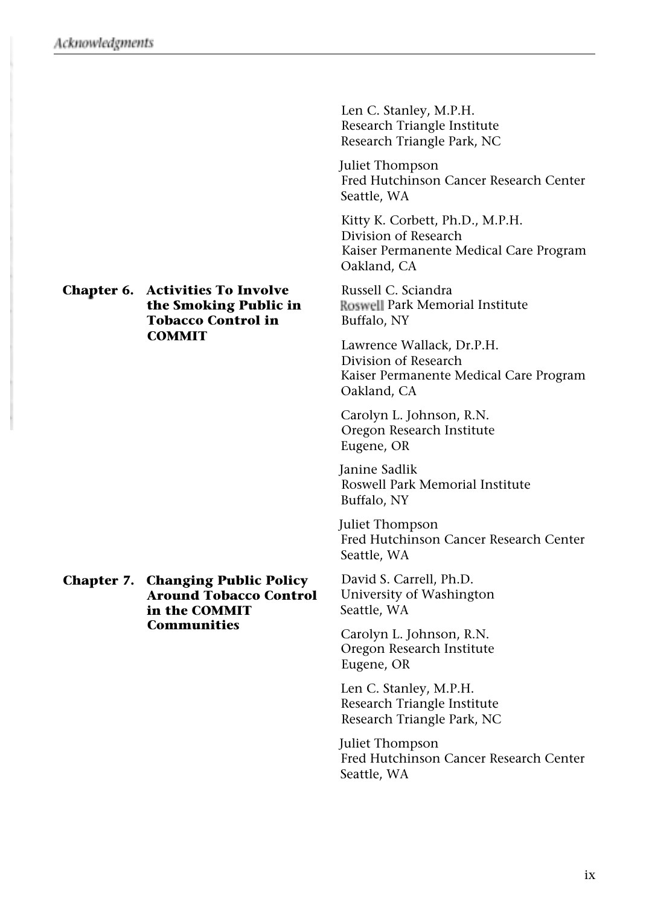**Chapter 6. Activities To Involve the Smoking Public in Tobacco Control in COMMIT**

**Chapter 7. Changing Public Policy Around Tobacco Control in the COMMIT Communities**

Len C. Stanley, M.P.H. Research Triangle Institute Research Triangle Park, NC

Juliet Thompson Fred Hutchinson Cancer Research Center Seattle, WA

Kitty K. Corbett, Ph.D., M.P.H. Division of Research Kaiser Permanente Medical Care Program Oakland, CA

Russell C. Sciandra Roswell Park Memorial Institute Buffalo, NY

Lawrence Wallack, Dr.P.H. Division of Research Kaiser Permanente Medical Care Program Oakland, CA

Carolyn L. Johnson, R.N. Oregon Research Institute Eugene, OR

Janine Sadlik Roswell Park Memorial Institute Buffalo, NY

Juliet Thompson Fred Hutchinson Cancer Research Center Seattle, WA

David S. Carrell, Ph.D. University of Washington Seattle, WA

Carolyn L. Johnson, R.N. Oregon Research Institute Eugene, OR

Len C. Stanley, M.P.H. Research Triangle Institute Research Triangle Park, NC

Juliet Thompson Fred Hutchinson Cancer Research Center Seattle, WA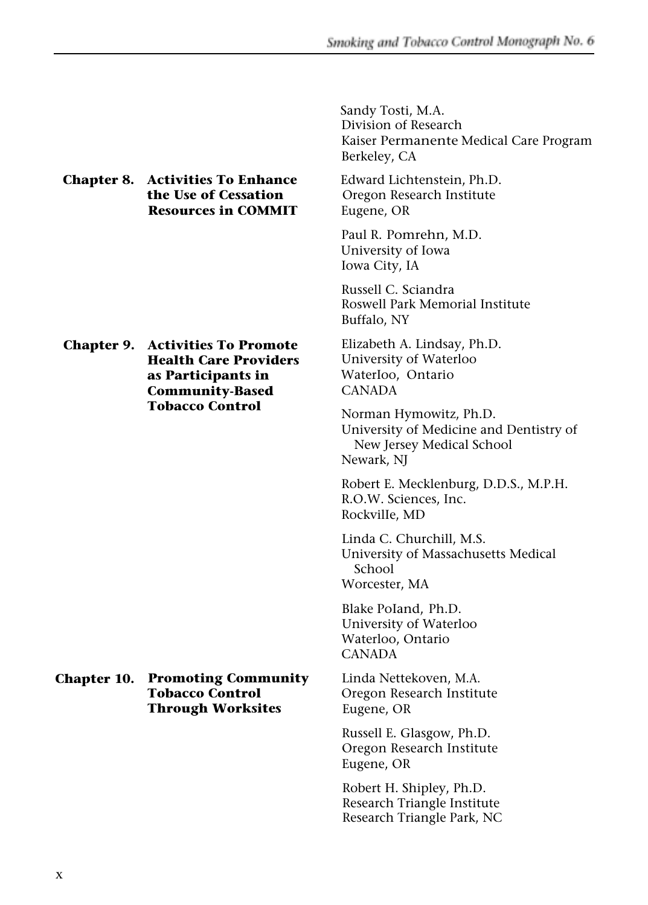|                    |                                                                                                                                                   | Sandy Tosti, M.A.<br>Division of Research<br>Kaiser Permanente Medical Care Program<br>Berkeley, CA          |
|--------------------|---------------------------------------------------------------------------------------------------------------------------------------------------|--------------------------------------------------------------------------------------------------------------|
|                    | <b>Chapter 8. Activities To Enhance</b><br>the Use of Cessation<br><b>Resources in COMMIT</b>                                                     | Edward Lichtenstein, Ph.D.<br>Oregon Research Institute<br>Eugene, OR                                        |
|                    |                                                                                                                                                   | Paul R. Pomrehn, M.D.<br>University of Iowa<br>Iowa City, IA                                                 |
|                    |                                                                                                                                                   | Russell C. Sciandra<br>Roswell Park Memorial Institute<br>Buffalo, NY                                        |
|                    | <b>Chapter 9. Activities To Promote</b><br><b>Health Care Providers</b><br>as Participants in<br><b>Community-Based</b><br><b>Tobacco Control</b> | Elizabeth A. Lindsay, Ph.D.<br>University of Waterloo<br>Waterloo, Ontario<br><b>CANADA</b>                  |
|                    |                                                                                                                                                   | Norman Hymowitz, Ph.D.<br>University of Medicine and Dentistry of<br>New Jersey Medical School<br>Newark, NJ |
|                    |                                                                                                                                                   | Robert E. Mecklenburg, D.D.S., M.P.H.<br>R.O.W. Sciences, Inc.<br>Rockville, MD                              |
|                    |                                                                                                                                                   | Linda C. Churchill, M.S.<br>University of Massachusetts Medical<br>School<br>Worcester, MA                   |
|                    |                                                                                                                                                   | Blake PoIand, Ph.D.<br>University of Waterloo<br>Waterloo, Ontario<br><b>CANADA</b>                          |
| <b>Chapter 10.</b> | <b>Promoting Community</b><br><b>Tobacco Control</b><br><b>Through Worksites</b>                                                                  | Linda Nettekoven, M.A.<br>Oregon Research Institute<br>Eugene, OR                                            |
|                    |                                                                                                                                                   | Russell E. Glasgow, Ph.D.<br>Oregon Research Institute<br>Eugene, OR                                         |
|                    |                                                                                                                                                   | Robert H. Shipley, Ph.D.<br>Research Triangle Institute<br>Research Triangle Park, NC                        |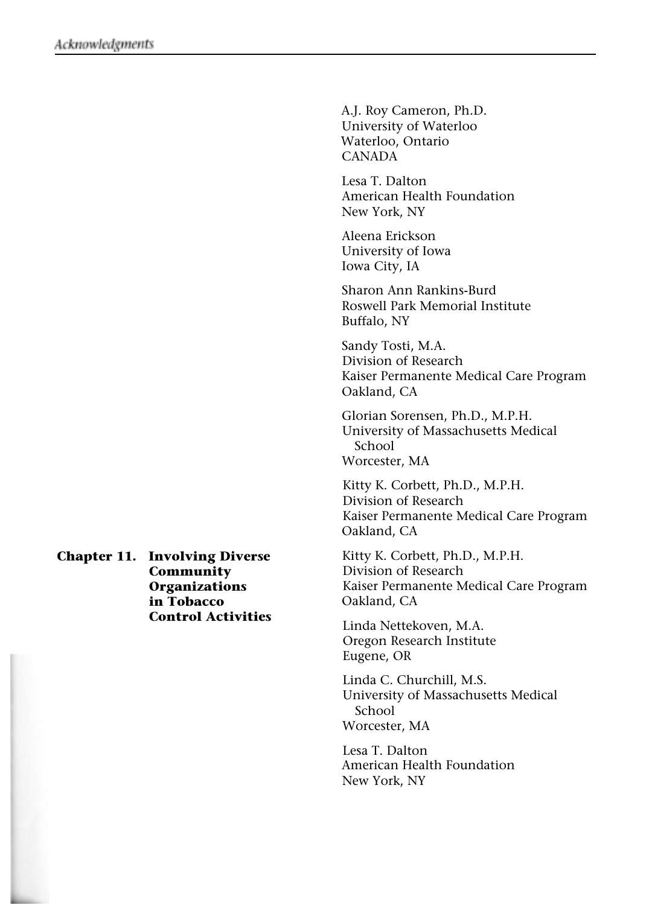**Chapter 11. Involving Diverse Community Organizations in Tobacco Control Activities** A.J. Roy Cameron, Ph.D. University of Waterloo Waterloo, Ontario CANADA

Lesa T. Dalton American Health Foundation New York, NY

Aleena Erickson University of Iowa Iowa City, IA

Sharon Ann Rankins-Burd Roswell Park Memorial Institute Buffalo, NY

Sandy Tosti, M.A. Division of Research Kaiser Permanente Medical Care Program Oakland, CA

Glorian Sorensen, Ph.D., M.P.H. University of Massachusetts Medical School Worcester, MA

Kitty K. Corbett, Ph.D., M.P.H. Division of Research Kaiser Permanente Medical Care Program Oakland, CA

Kitty K. Corbett, Ph.D., M.P.H. Division of Research Kaiser Permanente Medical Care Program Oakland, CA

Linda Nettekoven, M.A. Oregon Research Institute Eugene, OR

Linda C. Churchill, M.S. University of Massachusetts Medical School Worcester, MA

Lesa T. Dalton American Health Foundation New York, NY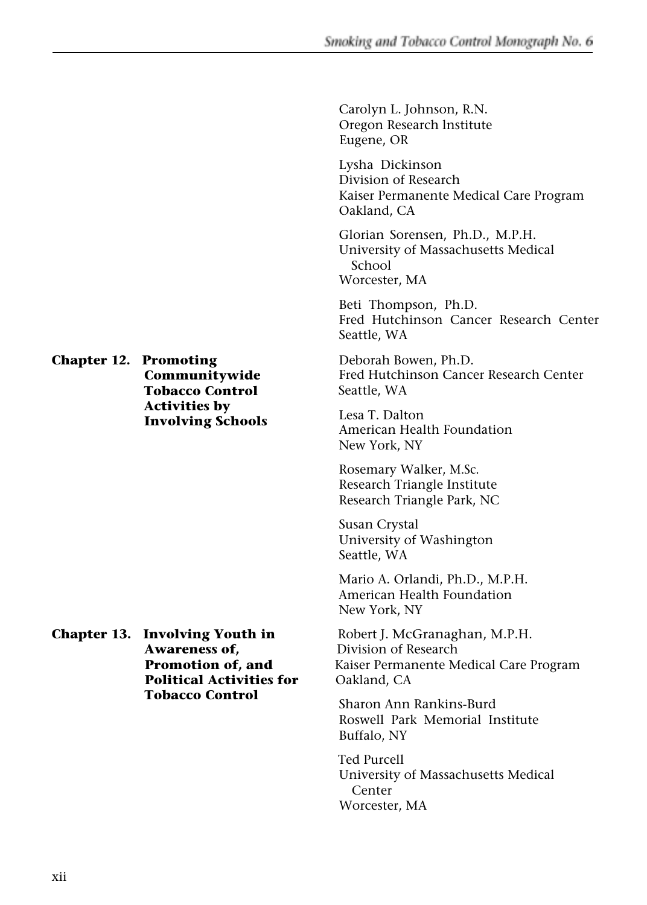|                              |                                                                                                                                                 | Carolyn L. Johnson, R.N.<br>Oregon Research Institute<br>Eugene, OR                                            |
|------------------------------|-------------------------------------------------------------------------------------------------------------------------------------------------|----------------------------------------------------------------------------------------------------------------|
|                              |                                                                                                                                                 | Lysha Dickinson<br>Division of Research<br>Kaiser Permanente Medical Care Program<br>Oakland, CA               |
|                              |                                                                                                                                                 | Glorian Sorensen, Ph.D., M.P.H.<br>University of Massachusetts Medical<br>School<br>Worcester, MA              |
|                              |                                                                                                                                                 | Beti Thompson, Ph.D.<br>Fred Hutchinson Cancer Research Center<br>Seattle, WA                                  |
| <b>Chapter 12. Promoting</b> | Communitywide<br><b>Tobacco Control</b><br><b>Activities by</b><br><b>Involving Schools</b>                                                     | Deborah Bowen, Ph.D.<br>Fred Hutchinson Cancer Research Center<br>Seattle, WA                                  |
|                              |                                                                                                                                                 | Lesa T. Dalton<br>American Health Foundation<br>New York, NY                                                   |
|                              |                                                                                                                                                 | Rosemary Walker, M.Sc.<br>Research Triangle Institute<br>Research Triangle Park, NC                            |
|                              |                                                                                                                                                 | Susan Crystal<br>University of Washington<br>Seattle, WA                                                       |
|                              |                                                                                                                                                 | Mario A. Orlandi, Ph.D., M.P.H.<br>American Health Foundation<br>New York, NY                                  |
|                              | Chapter 13. Involving Youth in<br><b>Awareness of,</b><br><b>Promotion of, and</b><br><b>Political Activities for</b><br><b>Tobacco Control</b> | Robert J. McGranaghan, M.P.H.<br>Division of Research<br>Kaiser Permanente Medical Care Program<br>Oakland, CA |
|                              |                                                                                                                                                 | Sharon Ann Rankins-Burd<br>Roswell Park Memorial Institute<br>Buffalo, NY                                      |
|                              |                                                                                                                                                 | Ted Purcell<br>University of Massachusetts Medical<br>Center<br>Worcester, MA                                  |
|                              |                                                                                                                                                 |                                                                                                                |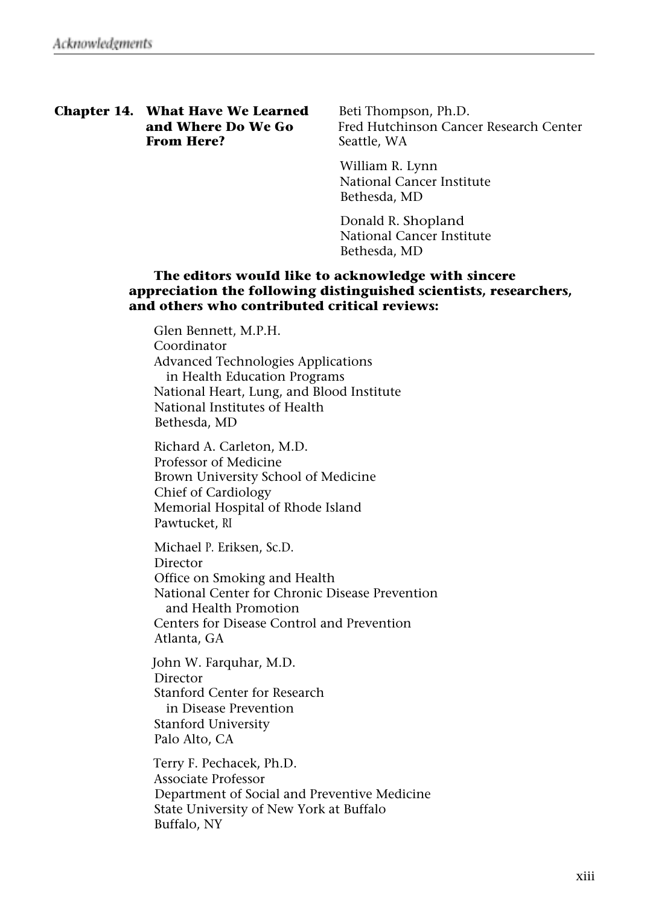# **Chapter 14. What Have We Learned** Beti Thompson, Ph.D. **From Here?** Seattle, WA

**and Where Do We Go** Fred Hutchinson Cancer Research Center

William R. Lynn National Cancer Institute Bethesda, MD

Donald R. Shopland National Cancer Institute Bethesda, MD

#### **The editors wouId like to acknowledge with sincere appreciation the following distinguished scientists, researchers, and others who contributed critical reviews:**

Glen Bennett, M.P.H. Coordinator Advanced Technologies Applications in Health Education Programs National Heart, Lung, and Blood Institute National Institutes of Health Bethesda, MD

Richard A. Carleton, M.D. Professor of Medicine Brown University School of Medicine Chief of Cardiology Memorial Hospital of Rhode Island Pawtucket, RI

Michael P. Eriksen, Sc.D. Director Office on Smoking and Health National Center for Chronic Disease Prevention and Health Promotion Centers for Disease Control and Prevention Atlanta, GA

John W. Farquhar, M.D. Director Stanford Center for Research in Disease Prevention Stanford University Palo Alto, CA

Terry F. Pechacek, Ph.D. Associate Professor Department of Social and Preventive Medicine State University of New York at Buffalo Buffalo, NY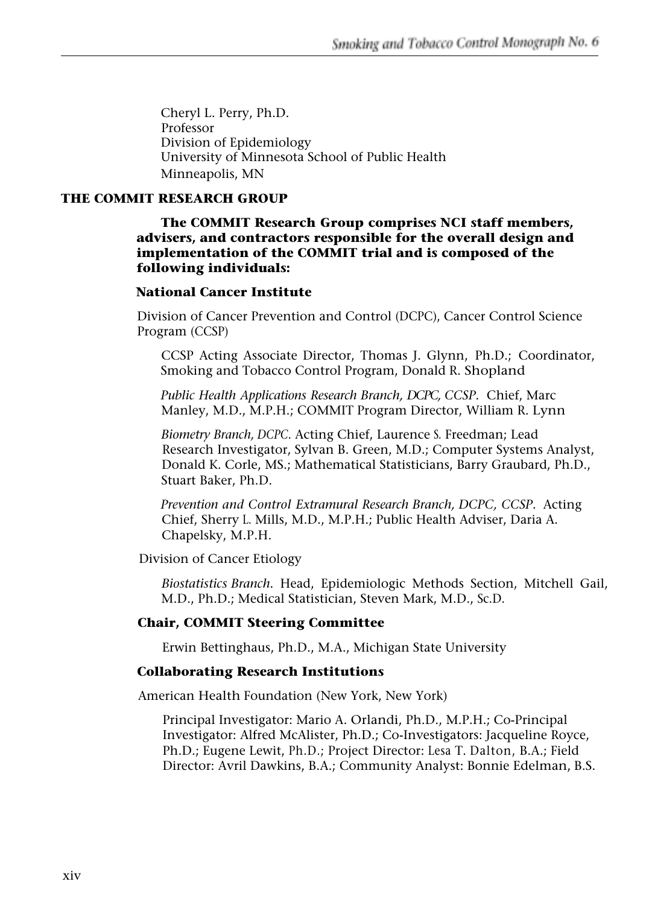Cheryl L. Perry, Ph.D. Professor Division of Epidemiology University of Minnesota School of Public Health Minneapolis, MN

### **THE COMMIT RESEARCH GROUP**

**The COMMIT Research Group comprises NCI staff members, advisers, and contractors responsible for the overall design and implementation of the COMMIT trial and is composed of the following individuals:**

#### **National Cancer Institute**

Division of Cancer Prevention and Control (DCPC), Cancer Control Science Program (CCSP)

CCSP Acting Associate Director, Thomas J. Glynn, Ph.D.; Coordinator, Smoking and Tobacco Control Program, Donald R. Shopland

*Public Health Applications Research Branch, DCPC, CCSP.* Chief, Marc Manley, M.D., M.P.H.; COMMIT Program Director, William R. Lynn

*Biometry Branch, DCPC.* Acting Chief, Laurence S. Freedman; Lead Research Investigator, Sylvan B. Green, M.D.; Computer Systems Analyst, Donald K. Corle, MS.; Mathematical Statisticians, Barry Graubard, Ph.D., Stuart Baker, Ph.D.

*Prevention and Control Extramural Research Branch, DCPC, CCSP.* Acting Chief, Sherry L. Mills, M.D., M.P.H.; Public Health Adviser, Daria A. Chapelsky, M.P.H.

#### Division of Cancer Etiology

*Biostatistics Branch.* Head, Epidemiologic Methods Section, Mitchell Gail, M.D., Ph.D.; Medical Statistician, Steven Mark, M.D., Sc.D.

## **Chair, COMMIT Steering Committee**

Erwin Bettinghaus, Ph.D., M.A., Michigan State University

#### **Collaborating Research Institutions**

American Health Foundation (New York, New York)

Principal Investigator: Mario A. Orlandi, Ph.D., M.P.H.; Co-Principal Investigator: Alfred McAlister, Ph.D.; Co-Investigators: Jacqueline Royce, Ph.D.; Eugene Lewit, Ph.D.; Project Director: Lesa T. Dalton, B.A.; Field Director: Avril Dawkins, B.A.; Community Analyst: Bonnie Edelman, B.S.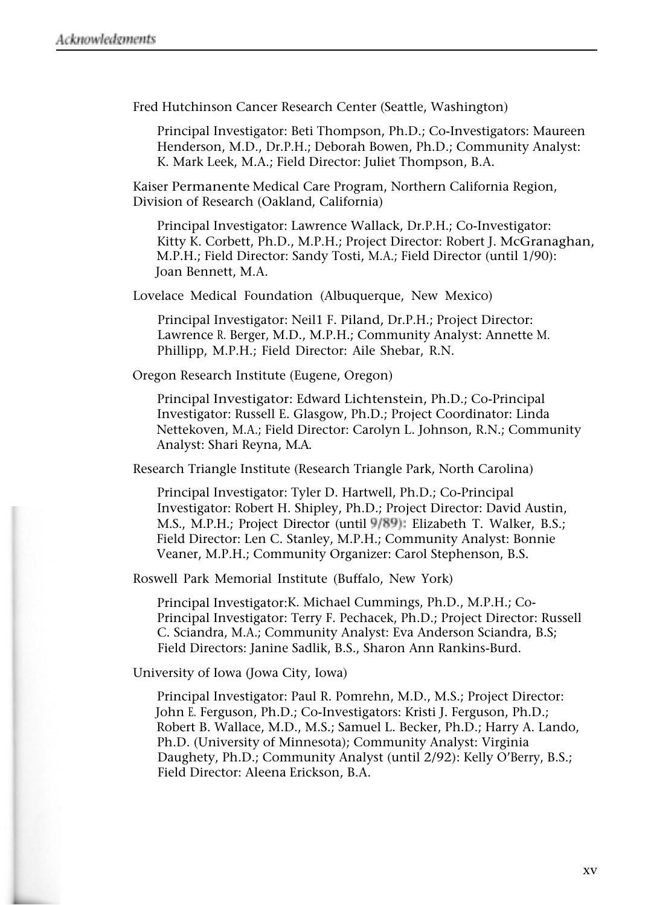Fred Hutchinson Cancer Research Center (Seattle, Washington)

Principal Investigator: Beti Thompson, Ph.D.; Co-Investigators: Maureen Henderson, M.D., Dr.P.H.; Deborah Bowen, Ph.D.; Community Analyst: K. Mark Leek, M.A.; Field Director: Juliet Thompson, B.A.

Kaiser Permanente Medical Care Program, Northern California Region, Division of Research (Oakland, California)

Principal Investigator: Lawrence Wallack, Dr.P.H.; Co-Investigator: Kitty K. Corbett, Ph.D., M.P.H.; Project Director: Robert J. McGranaghan, M.P.H.; Field Director: Sandy Tosti, M.A.; Field Director (until 1/90): Joan Bennett, M.A.

Lovelace Medical Foundation (Albuquerque, New Mexico)

Principal Investigator: Neil1 F. Piland, Dr.P.H.; Project Director: Lawrence R. Berger, M.D., M.P.H.; Community Analyst: Annette M. Phillipp, M.P.H.; Field Director: Aile Shebar, R.N.

Oregon Research Institute (Eugene, Oregon)

Principal Investigator: Edward Lichtenstein, Ph.D.; Co-Principal Investigator: Russell E. Glasgow, Ph.D.; Project Coordinator: Linda Nettekoven, M.A.; Field Director: Carolyn L. Johnson, R.N.; Community Analyst: Shari Reyna, M.A.

Research Triangle Institute (Research Triangle Park, North Carolina)

Principal Investigator: Tyler D. Hartwell, Ph.D.; Co-Principal Investigator: Robert H. Shipley, Ph.D.; Project Director: David Austin, M.S., M.P.H.; Project Director (until 9/89): Elizabeth T. Walker, B.S.; Field Director: Len C. Stanley, M.P.H.; Community Analyst: Bonnie Veaner, M.P.H.; Community Organizer: Carol Stephenson, B.S.

Roswell Park Memorial Institute (Buffalo, New York)

Principal Investigator:K. Michael Cummings, Ph.D., M.P.H.; Co-Principal Investigator: Terry F. Pechacek, Ph.D.; Project Director: Russell C. Sciandra, M.A.; Community Analyst: Eva Anderson Sciandra, B.S; Field Directors: Janine Sadlik, B.S., Sharon Ann Rankins-Burd.

University of Iowa (Jowa City, Iowa)

Principal Investigator: Paul R. Pomrehn, M.D., M.S.; Project Director: John E. Ferguson, Ph.D.; Co-Investigators: Kristi J. Ferguson, Ph.D.; Robert B. Wallace, M.D., M.S.; Samuel L. Becker, Ph.D.; Harry A. Lando, Ph.D. (University of Minnesota); Community Analyst: Virginia Daughety, Ph.D.; Community Analyst (until 2/92): Kelly O'Berry, B.S.; Field Director: Aleena Erickson, B.A.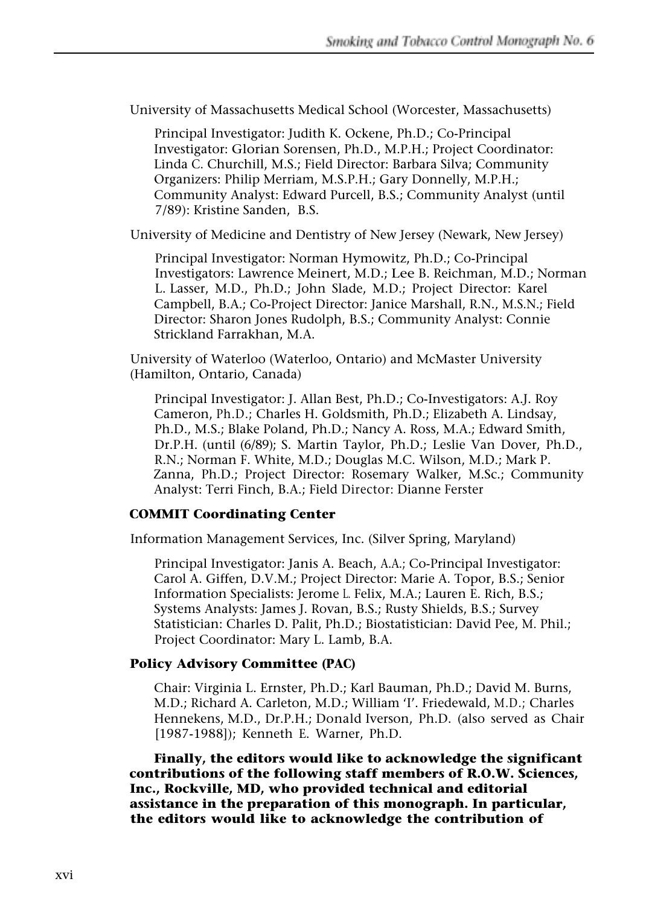University of Massachusetts Medical School (Worcester, Massachusetts)

Principal Investigator: Judith K. Ockene, Ph.D.; Co-Principal Investigator: Glorian Sorensen, Ph.D., M.P.H.; Project Coordinator: Linda C. Churchill, M.S.; Field Director: Barbara Silva; Community Organizers: Philip Merriam, M.S.P.H.; Gary Donnelly, M.P.H.; Community Analyst: Edward Purcell, B.S.; Community Analyst (until 7/89): Kristine Sanden, B.S.

University of Medicine and Dentistry of New Jersey (Newark, New Jersey)

Principal Investigator: Norman Hymowitz, Ph.D.; Co-Principal Investigators: Lawrence Meinert, M.D.; Lee B. Reichman, M.D.; Norman L. Lasser, M.D., Ph.D.; John Slade, M.D.; Project Director: Karel Campbell, B.A.; Co-Project Director: Janice Marshall, R.N., M.S.N.; Field Director: Sharon Jones Rudolph, B.S.; Community Analyst: Connie Strickland Farrakhan, M.A.

University of Waterloo (Waterloo, Ontario) and McMaster University (Hamilton, Ontario, Canada)

Principal Investigator: J. Allan Best, Ph.D.; Co-Investigators: A.J. Roy Cameron, Ph.D.; Charles H. Goldsmith, Ph.D.; Elizabeth A. Lindsay, Ph.D., M.S.; Blake Poland, Ph.D.; Nancy A. Ross, M.A.; Edward Smith, Dr.P.H. (until (6/89); S. Martin Taylor, Ph.D.; Leslie Van Dover, Ph.D., R.N.; Norman F. White, M.D.; Douglas M.C. Wilson, M.D.; Mark P. Zanna, Ph.D.; Project Director: Rosemary Walker, M.Sc.; Community Analyst: Terri Finch, B.A.; Field Director: Dianne Ferster

#### **COMMIT Coordinating Center**

Information Management Services, Inc. (Silver Spring, Maryland)

Principal Investigator: Janis A. Beach, A.A.; Co-Principal Investigator: Carol A. Giffen, D.V.M.; Project Director: Marie A. Topor, B.S.; Senior Information Specialists: Jerome L. Felix, M.A.; Lauren E. Rich, B.S.; Systems Analysts: James J. Rovan, B.S.; Rusty Shields, B.S.; Survey Statistician: Charles D. Palit, Ph.D.; Biostatistician: David Pee, M. Phil.; Project Coordinator: Mary L. Lamb, B.A.

#### **Policy Advisory Committee (PAC)**

Chair: Virginia L. Ernster, Ph.D.; Karl Bauman, Ph.D.; David M. Burns, M.D.; Richard A. Carleton, M.D.; William 'I'. Friedewald, M.D.; Charles Hennekens, M.D., Dr.P.H.; Donald Iverson, Ph.D. (also served as Chair [1987-1988]); Kenneth E. Warner, Ph.D.

**Finally, the editors would like to acknowledge the significant contributions of the following staff members of R.O.W. Sciences, Inc., Rockville, MD, who provided technical and editorial assistance in the preparation of this monograph. In particular, the editors would like to acknowledge the contribution of**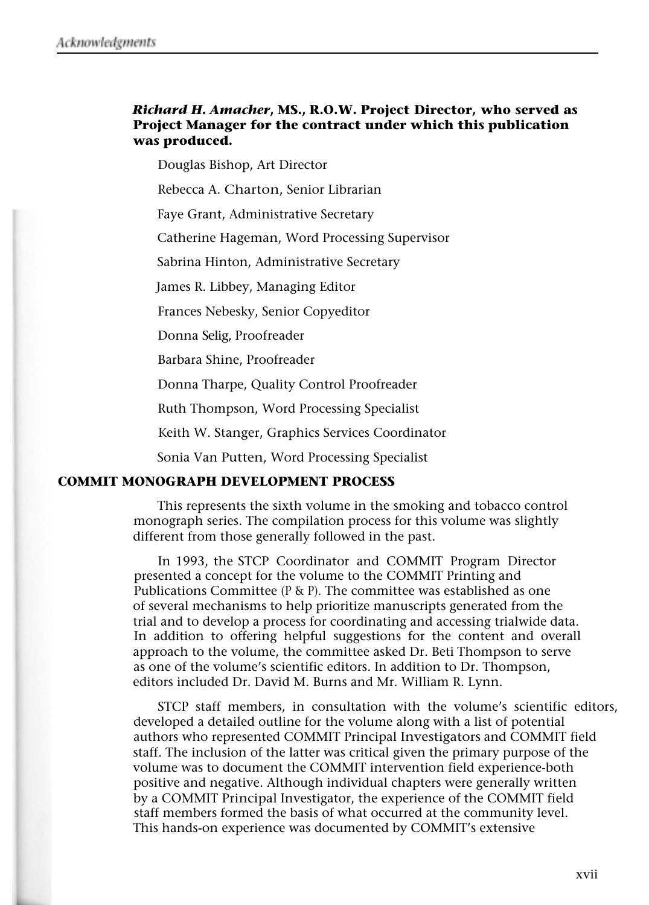#### *Richard H. Amacher***, MS., R.O.W. Project Director, who served as Project Manager for the contract under which this publication was produced.**

Douglas Bishop, Art Director

Rebecca A. Charton, Senior Librarian

Faye Grant, Administrative Secretary

Catherine Hageman, Word Processing Supervisor

Sabrina Hinton, Administrative Secretary

James R. Libbey, Managing Editor

Frances Nebesky, Senior Copyeditor

Donna Selig, Proofreader

Barbara Shine, Proofreader

Donna Tharpe, Quality Control Proofreader

Ruth Thompson, Word Processing Specialist

Keith W. Stanger, Graphics Services Coordinator

Sonia Van Putten, Word Processing Specialist

#### **COMMIT MONOGRAPH DEVELOPMENT PROCESS**

This represents the sixth volume in the smoking and tobacco control monograph series. The compilation process for this volume was slightly different from those generally followed in the past.

In 1993, the STCP Coordinator and COMMIT Program Director presented a concept for the volume to the COMMIT Printing and Publications Committee ( $P \& P$ ). The committee was established as one of several mechanisms to help prioritize manuscripts generated from the trial and to develop a process for coordinating and accessing trialwide data. In addition to offering helpful suggestions for the content and overall approach to the volume, the committee asked Dr. Beti Thompson to serve as one of the volume's scientific editors. In addition to Dr. Thompson, editors included Dr. David M. Burns and Mr. William R. Lynn.

STCP staff members, in consultation with the volume's scientific editors, developed a detailed outline for the volume along with a list of potential authors who represented COMMIT Principal Investigators and COMMIT field staff. The inclusion of the latter was critical given the primary purpose of the volume was to document the COMMIT intervention field experience-both positive and negative. Although individual chapters were generally written by a COMMIT Principal Investigator, the experience of the COMMIT field staff members formed the basis of what occurred at the community level. This hands-on experience was documented by COMMIT's extensive